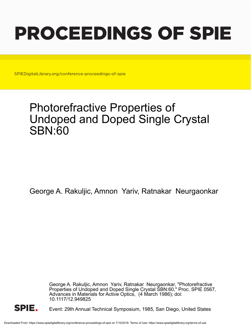# PROCEEDINGS OF SPIE

SPIEDigitalLibrary.org/conference-proceedings-of-spie

# Photorefractive Properties of Undoped and Doped Single Crystal SBN:60

George A. Rakuljic, Amnon Yariv, Ratnakar Neurgaonkar

George A. Rakuljic, Amnon Yariv, Ratnakar Neurgaonkar, "Photorefractive Properties of Undoped and Doped Single Crystal SBN:60," Proc. SPIE 0567, Advances in Materials for Active Optics, (4 March 1986); doi: 10.1117/12.949825



Event: 29th Annual Technical Symposium, 1985, San Diego, United States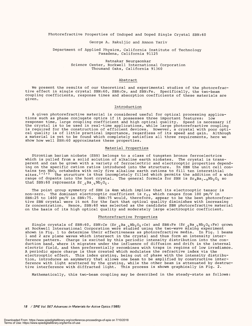Photorefractive Properties of Undoped and Doped Single Crystal SBN:60 Photorefractive Properties of Undoped and Doped Single Crystal SEN:60

# George A. Rakuljic and Amnon Yariv George A. Rakuljic and Amnon Yariv

Department of Applied Physics, California Institute of Technology Department of Applied Physics, California Institute of Technology Pasadena, California 91125 Pasadena, California 91125

> Ratnakar Neurgaonkar Ratnakar Neurgaonkar Science Center, Rockwell International Corporation Science Center, Rockwell International Corporation Thousand Oaks, California 91360 Thousand Oaks, California 91360

# Abstract Abstract

We present the results of our theoretical and experimental studies of the photorefrac-We present the results of our theoretical and experimental studies of the photorefractive effect in single crystal SBN:60, SBN:Ce, and SBN:Fe. Specifically, the two -beam tive effect in single crystal SBN:60, SBN:Ce, and SBN:Fe. Specifically, the two-beam coupling coefficients, response times and absorption coefficients of these materials are coupling coefficients, response times and absorption coefficients of these materials are given. given.

# Introduction Introduction

A given photorefractive material is considered useful for optical processing applica-A given photorefractive material is considered useful for optical processing applications such as phase conjugate optics if it possesses three important features: low tions such as phase conjugate optics if it possesses three important features: low response time, large coupling coefficient and high optical quality. Speed is necessary if the crystal is to be used in real -time applications, while large photorefractive coupling is required for the construction of efficient devices. However, a crystal with poor opti-is required for the construction of efficient devices. However, a crystal with poor optical quality is of little practical importance, regardless of its speed and gain. Although a material is yet to be found which completely satisfies all three requirements, here we show how well SBN:60 approximates these properties. show how well SEN:60 approximates these properties. response time, large coupling coefficient and high optical quality. Speed is necessary if the crystal is to be used in real-time applications, while large photorefractive coupling cal quality is of little practical importance, regardless of its speed and gain. Although <sup>a</sup>material is yet to be found which completely satisfies all three requirements, here we

# Material Properties Material Properties

Strontium barium niobate (SBN) belongs to a class of tungsten bronze ferroelectrics Strontium barium niobate (SEN) belongs to a class of tungsten bronze ferroelectrics which is pulled from a solid solution of alkaline earth niobates. The crystal is trans-which is pulled from a solid solution of alkaline earth niobates. The crystal is transparent and can be grown with a variety of ferroelectric and electrooptic properties depend-parent and can be grown with a variety of ferroelectric and electrooptic properties depending on the specific cation ratios introduced into the structure. In SBN the unit cell con-ing on the specific cation ratios introduced into the structure. In SEN the unit cell contains ten NbO<sub>6</sub> octahedra with only five alkaline earth cations to fill ten interstitial sites.<sup>1</sup>'<sup>2</sup>'<sup>3</sup> The structure is thus incompletely filled which permits the addition of a wide range of dopants into the host crystal. The general formula for SBN is  $\texttt{Sr}_{\texttt{x}}\texttt{Ba}_{\texttt{1-x}}\texttt{Nb}_{\texttt{2}}\texttt{O}_6$  so that SBN:60 represents  $Sr_{16}Ba_{14}Nb_{2}O_{6}$ . tains ten NbO<sub>6</sub> octahedra with only five alkaline earth cations to fill ten interstitial sites.<sup>17273</sup> The structure is thus incompletely filled which permits the addition of a wide

The point group symmetry of SBN is 4mm which implies that its electrooptic tensor is The point group symmetry of SEN is 4mm which implies that its electrooptic tensor is non-zero. The dominant electrooptic coefficient is r<sub>33</sub> which ranges from 100 pm/V in SBN:25 to 1400 pm /V in SBN:75. SBN:75 would, therefore, appear to be the best photorefrac-SEN:25 to 1400 pm/V in SEN:75. SEN:75 would, therefore, appear to be the best photorefractive SBN crystal were it not for the fact that optical quality diminishes with increasing tive SEN crystal were it not for the fact that optical quality diminishes with increasing Sr concentration. Hence, SBN:60 was selected as the candidate SBN photorefractive material Sr concentration. Hence, SEN:60 was selected as the candidate SEN photorefractive material on the basis of its high optical quality and moderately large electrooptic coefficient. on the basis of its high optical quality and moderately large electrooptic coefficient.

# Photorefractive Properties Photorefractive Properties

Single crystals of SBN:60, SBN:Ce  $(Sr_{.6}Ba_{.4}Nb_2O_6:Ce)$  and SBN:Fe  $(Sr_{.6}Ba_{.4}Nb_2O_6:Fe)$  grown Rockwell International Corporation were studied using the two-wave mixing experiment shown in Fig. 1 to determine their effectiveness as photorefractive media. In Fig. 1 beams shown in Fig. 1 to determine their effectiveness as photorefractive media. In Fig. 1 beams 1 and 2 are plane waves which intersect in the crystal and thus form an intensity inter-1 and 2 are plane waves which intersect in the crystal and thus form an intensity interference pattern. Charge is excited by this periodic intensity distribution into the con-ference pattern. Charge is excited by this periodic intensity distribution into the conduction band, where it migrates under the influence of diffusion and drift in the internal duction band, where it migrates under the influence of diffusion and drift in the internal electric field, and then preferentially recombines with traps in regions of low irradiance. electric field, and then preferentially recombines with traps in regions of low irradiance. A periodic space charge is thus created which modulates the refractive index via the <sup>A</sup>periodic space charge is thus created which modulates the refractive index via the electrooptic effect. This index grating, being out of phase with the intensity distribu-electrooptic effect. This index grating, being out of phase with the intensity distribution, introduces an asymmetry that allows one beam to be amplified by constructive inter-tion, introduces an asymmetry that allows one beam to be amplified by constructive interference with light scattered by the grating, while the other beam is attenuated by destruc-ference with light scattered by the grating, while the other beam is attenuated by destructive interference with diffracted light. This process is shown graphically in Fig. 2. tive interference with diffracted light. This process is shown graphically in Fig. 2. Single crystals of SBN:60, SBN:Ce (Sr  $_{\rm 6}$ Ba  $_{\rm h}$ Nb<sub>2</sub>O<sub>6</sub>:Ce) and SBN:Fe (Sr  $_{\rm 6}$ Ba  $_{\rm 4}$ Nb<sub>2</sub>O<sub>6</sub>:Fe) grown at Rockwell International Corporation were studied using the two-wave mixing experiment

Mathematically, this two-beam coupling may be described in the steady-state as follows:

18 / SP /E Vol 567 Advances in Materials for Active Optics (1985) **18 / SPIE Vol. 567 Advances in Materials for Active Optics (1985)**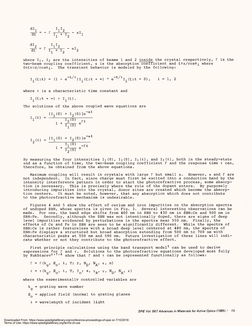$$
\frac{dI_1}{d\xi} = - \Gamma \frac{I_1 I_2}{I_1 + I_2} - \alpha I_1
$$
  

$$
\frac{dI_2}{d\xi} = \Gamma \frac{I_1 I_2}{I_1 + I_2} - \alpha I_2
$$

where I<sub>1</sub>, I<sub>2</sub> are the intensities of beams 1 and 2 inside the crystal respectively,  $\Gamma$  is the two-beam coupling coefficient,  $\alpha$  is the absorption coefficient and  $\xi$ =z/cos $\theta_{\,\textbf{i}}$  where  $0$ ≤ $\xi$ ≤≡d/ $\cos\theta$ i. The transient behavior is modeled by the following:

$$
I_{i}(\xi;t) = (1 - e^{-t/\tau}) I_{i}(\xi;t + \infty) + e^{-t/\tau} I_{i}(\xi;t = 0), \quad i = 1, 2
$$

where  $\tau$  is a characteristic time constant and

$$
I_i(\xi;t + \infty) \equiv I_i(\xi).
$$

The solutions of the above coupled wave equations are The solutions of the above coupled wave equations are

$$
I_1(\ell) = \frac{[I_1(0) + I_2(0)]e^{-\alpha \ell}}{1 + \frac{I_2(0)}{I_1(0)}e^{\Gamma \ell}}
$$
  

$$
I_2(\ell) = \frac{[I_1(0) + I_2(0)]e^{-\alpha \ell}}{1 + \frac{I_2(0)}{I_2(0)}e^{-\alpha \ell}}
$$

$$
2^{(\kappa)} = \frac{1}{1 + \frac{T_1(0)}{T_2(0)}} e^{-\Gamma \ell}
$$

By measuring the four intensities I<sub>1</sub>(0), I<sub>2</sub>(0), I<sub>1</sub>(ℓ), and I<sub>2</sub>(ℓ), both in the steady-state and as a function of time, the two-beam coupling coefficient  $\Gamma$  and the response time  $\tau$  can, therefore, be obtained from the above equations. therefore, be obtained from the above equations.

Maximum coupling will result in crystals with large r but small a. However, a and r are Maximum coupling will result in crystals with large r but small a. However, a and r are not independent. In fact, since charge must first be excited into a conduction band by the not independent. In fact, since charge must first be excited into a conduction band by the intensity interference pattern in order to start the photorefractive process, some absorp-intensity interference pattern in order to start the photorefractive process, some absorption is necessary. This is precisely where the role of the dopant enters. By purposely tion is necessary. This is precisely where the role of the dopant enters. By purposely introducing impurities into the crystal, donor sites are created which become the absorp-introducing impurities into the crystal, donor sites are created which become the absorption centers. It must be noted, however, that any absorption which does not contribute tion centers. It must be noted, however, that any absorption which does not contribute to the photorefractive mechanism is undesirable. to the photorefractive mechanism is undesirable.

Figures 4 and 5 show the effect of cerium and iron impurities on the absorption spectra Figures 4 and 5 show the effect of cerium and iron impurities on the absorption spectra of undoped SBN, whose spectra is given in Fig. 3. Several interesting observations can be of undoped SEN, whose spectra is given in Fig. 3. Several interesting observations can be made. For one, the band edge shifts from 400 nm in SBN to 430 nm in SBN:Ce and 500 nm in made. For one, the band edge shifts from 400 nm in SEN to 430 nm in SBN:Ce and 500 nm in SBN:Fe. Secondly, although the SBN was not intentionally doped, there are signs of deep SBN:Fe. Secondly, although the SEN was not intentionally doped, there are signs of deep level impurities evidenced by perturbations in the spectra near 550 nm. Finally, the level impurities evidenced by perturbations in the spectra near 550 nm. Finally, the effects of Ce and Fe in SBN are seen to be significantly different. While the spectra of effects of Ce and Fe in SEN are seen to be significantly different. While the spectra of SBN:Ce is rather featureless with a broad deep level centered at 480 nm, the spectra of SBN:Ce is rather featureless with a broad deep level centered at 480 nm, the spectra of SBN:Fe displays a structured but broad absorption extending from 500 nm to 700 nm with SBN:Fe displays a structured but broad absorption extending from 500 nm to 700 nm with characteristic peaks at 550 nm and 590 nm. Future investigation of these lines will indi-characteristic peaks at 550 nm and 590 nm. Future investigation of these lines will indicate whether or not they contribute to the photorefractive effect. cate whether or not they contribute to the photorefractive effect.

First principle calculations using the band transport model<sup>5</sup> can be used to derive expressions for r and T. Solutions to the photorefractive equations developed most fully by Kukhtarev $^6$   $^7$   $^8$  show that  $\Gamma$  and  $\tau$  can be represented functionally as follows: expressions for r and T. Solutions to the photorefractive equations developed most fully by Kukhtarev $^{\mathrm{6\,7\,7\,8}}$  show that  $\Gamma$  and  $\tau$  can be represented functionally as follows:

$$
\Gamma = \Gamma(k_{\alpha}, E_{\alpha}, \lambda, T; r, N_{D}, N_{A}, \varepsilon, n)
$$

$$
\tau = \tau (k_{\alpha}, E_{\alpha}, \lambda, T, I_{\alpha}; s, \gamma_{R}, \mu, N_{D}, N_{A}, \epsilon)
$$

where the experimentally controlled variables are where the experimentally controlled variables are

 $k_{\alpha}$  = grating wave number

 $E_{\rho}$  = applied field (normal to grating planes

 $\lambda$  = wavelength of incident light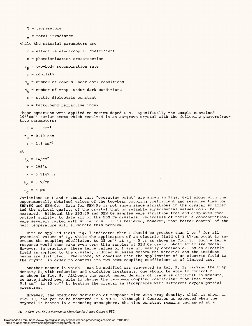T = temperature T = temperature

 $I_{\overline{O}}$  = total irradiance

while the material parameters are while the material parameters are

r = effective electrooptic coefficient <sup>r</sup>= effective electrooptic coefficient

s = photoionization cross -section <sup>s</sup>= photoionization cross-section

 $\gamma_{\rm R}^{}$  = two-body recombination rate

 $\mu$  = mobility

N<sub>n</sub> = number of donors under dark conditions

 $N_{\lambda}$  = number of traps under dark conditions

 $\varepsilon$  = static dielectric constant

n = background refractive index <sup>n</sup>= background refractive index

These equations were applied to cerium doped SBN. Specifically the sample contained These equations were applied to cerium doped SEN. Specifically the sample contained  $10^{18}$ cm $^{-3}$  cerium atoms which resulted in an as-grown crystal with the following photorefrac $\cdot$ tive parameters: tive parameters:

 $r = 11$  cm<sup>-1</sup>

 $\tau_e$  = 0.10 sec

 $\alpha = 1.8$  cm<sup>-1</sup>

$$
\qquad \qquad \text{at} \qquad \qquad
$$

 $I_{\sim}$  =  $1$ W/cm<sup>2</sup>

 $T = 298°K$ 

 $\lambda = 0.5145 \mu m$ 

$$
E_{\alpha} = 0 \text{ V/cm}
$$

$$
\lambda_g = 5 \ \mu m
$$

Variations in  $\Gamma$  and  $\tau$  about this "operating point" are shown in Figs. 6-13 along with the experimentally obtained values of the two-beam coupling coefficient and response time for SBN:60 and SBN:Ce. Data for SBN:Fe is not shown since striations in the crystal so affec-SEN:60 and SBN:Ce. Data for SBN:Fe is not shown since striations in the crystal so affected the optical quality of the crystal that no reliable experimental values could be ted the optical quality of the crystal that no reliable experimental values could be measured. Although the SBN:60 and SBN:Ce samples were striation free and displayed good measured. Although the SEN:60 and SBN:Ce samples were striation free and displayed good optical quality, to date all of the SBN:Fe crystals, regardless of their Fe concentration, optical quality, to date all of the SBN:Fe crystals, regardless of their Fe concentration, were severely marked with striations. It is believed, however, that better control of the were severely marked with striations. It is believed, however, that better control of the melt temperature will eliminate this problem. melt temperature will eliminate this problem. Variations in  $\Gamma$  and  $\tau$  about this "operating point" are shown in Figs. 6-13 along with the experimentally obtained values of the two-beam coupling coefficient and response time for

With no applied field Fig. 7 indicates that  $\Gamma$  should be greater than  $1$  cm $^{-1}$  for all practical values of  $\lambda_{\sigma}$ , while the application of an electric field of 2 kV/cm ought to increase the coupling c $\vec{\text{def}}$  ficient to 35 cm $^{-1}$  at  $\lambda_{\text{G}}$  = 5 µm as shown in Fig. 8. Such a large response would then make even very thin samples of SBN:Ce useful photorefractive media. However, in practice, these large values of r are not easily obtainable. As an electric However, in practice, these large values of r are not easily obtainable. As an electric field is applied to the crystal, induced stresses deform the material and the incident beams are distorted. Therefore, we conclude that the application of an electric field to the crystal in order to control its two -beam coupling coefficient is of limited use. With no applied field Fig. 7 indicates that  $\Gamma$  should be greater than  $1$  cm  $^1$  for all practical values of  $\lambda_{\alpha}$ , while the application of an electric field of 2 kV/cm ought to increase the coupling c $\vec{\phi}$ efficient to 35 cm $^{-1}$  at  $\lambda_{\alpha}$  = 5 µm as shown in Fig. 8. Such a large response would then make even very thin samples of SBN:Ce useful photorefractive media. field is applied to the crystal, induced stresses deform the material and the incident beams are distorted. Therefore, we conclude that the application of an electric field to the crystal in order to control its two-beam coupling coefficient is of limited use.

Another manner in which r can be modified was suggested in Ref. 9. By varying the trap Another manner in which r can be modified was suggested in Ref. 9. By varying the trap density N<sub>A</sub> with reduction and oxidation treatments, one should be able to control  $\Gamma$ as shown in Fig. 9. Although the exact number density of traps is difficult to measure, we have indeed been able to change the two-beam coupling coefficient from less than  $0.1$  cm $^{-1}$  to  $15$  cm $^{-1}$  by heating the crystal in atmospheres with different oxygen partial pressures. pressures. density N<sub>r.</sub> with reduction and oxidation treatments, one should be able to control  $\Gamma$ as shown in Fig. 9. Although the exact number density of traps is difficult to measure,

However, the predicted variation of response time with trap density, which is shown in However, the predicted variation of response time with trap density, which is shown in Fig. 10, has yet to be observed in SBN:Ce. Although r decreases as expected when the crystal is heated in a reducing atmosphere, the time constant remains unchanged at a Fig. 10, has yet to be observed in SBN:Ce. Although r decreases as expected when the crystal is heated in a reducing atmosphere, the time constant remains unchanged at <sup>a</sup>

#### 20 / SPIE Vol 567 Advances in Materials for Active Optics (1985) **20 / SPIE Vol. 567 Advances in Materials for Active Optics (1985)**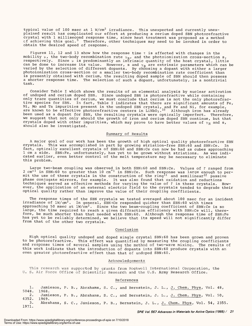typical value of  $100$  msec at  $1 \,$  W/cm $^2$  irradiance. This unexpected and currently unexplained result has complicated our effort at producing a cerium doped SBN photorefractive plained result has complicated our effort at producing a cerium doped SEN photorefractive crystal with 1 millisecond response time, since heat treatment was proposed as a method cf achieving this goal.<sup>9</sup> Therefore, other techniques may need to be invoked in order to obtain the desired speed of response. obtain the desired speed of response. crystal with 1 millisecond response time, since heat treatment was proposed as a method cf achieving this goal.' Therefore, other techniques may need to be invoked in order to

Figures 11, 12 and 13 show how the response time  $\tau$  is affected with changes in the mobility  $\upmu$ , the two-body recombination rate  $\gamma_\mathbf{R}$ , and the photoionization cross-section s, respectively. Since u is predominantly an intrinsic quantity of the host crystal, little respectively. Since y is predominantly an intrinsic quantity of the host crystal, little can be done to increase its value. However, s and  $\gamma^{}_{\rm R}$  are extrinsic parameters which can be varied by the selection of different dopants. By choosing a dopant with either a larger photoionization cross - section or a smaller two -body recombination rate coefficient than photoionization cross-section or a smaller two-body recombination rate coefficient than is presently obtained with cerium, the resulting doped sample of SBN should then possess is presently obtained with cerium, the resulting doped sample of SEN should then possess a shorter response time. The selection of such a dopant, unfortunately, is a nontrivial <sup>a</sup>shorter response time. The selection of such a dopant, unfortunately, is a nontrivial task. task. can be done to increase its value. However, s and  $\gamma^{}_{\rm R}$  are extrinsic parameters which can be varied by the selection of different dopants. By choosing a dopant with either a larger

Consider Table I which shows the results of an elemental analysis by nuclear activation Consider Table I which shows the results of an elemental analysis by nuclear activation of undoped and cerium doped SBN. Since undoped SBN is photorefractive while containing of undoped and cerium doped SEN. Since undoped SEN is photorefractive while containing only trace quantities of cerium, we must conclude that cerium is not the only photorefrac-only trace quantities of cerium, we must conclude that cerium is not the only photorefractive species for SBN. In fact, Table I indicates that there are significant amounts of Fe, tive species for SEN. In fact, Table I indicates that there are significant amounts of Fe, Ni, Mo and Ta impurities present in the undoped SBN crystal, and Fe and Ni, for example, are known to be effective photorefractive centers in  $\mathtt{LiNbO}_3$ . $^{10}$   $\,$  Although iron has already been used as a dopant for SBN, the resulting crystals were optically imperfect. Therefore, been used as a dopant for SEN, the resulting crystals were optically imperfect. Therefore, we suggest that not only should the growth of iron and cerium doped SBN continue, but that we suggest that not only should the growth of iron and cerium doped SEN continue, but that crystals doped with other impurities, which may prove to have better values of  $\gamma_\mathsf{R}$  and  $\mathsf{s},$ should also be investigated. should also be investigated. Ni, Mo and Ta impurities present in the undoped SEN crystal, and Fe and Ni, for example, are known to be effective photorefractive centers in LiNbO $_3 \cdot ^{10}$  -Although iron has already

# Summary of Results Summary of Results

A major goal of our work has been the growth of high optical quality photorefractive SBN <sup>A</sup>major goal of our work has been the growth of high optical quality photorefractive SEN crystals. This was accomplished in part by growing striation-free SBN:60 and SBN:Ce. In<br>fact, optically excellent crystals of SBN:60 and SBN:Ce can now be had as cubes approaching 1 cm a side. SBN:Fe, unfortunately, has yet to be grown without striations. As was indi-1 cm a side. SBN:Fe, unfortunately, has yet to be grown without striations. As was indicated earlier, even better control of the melt temperature may be necessary to eliminate cated earlier, even better control of the melt temperature may be necessary to eliminate this problem. this problem. crystals. This was accomplished in part by growing striation-free SEN:60 and SBN:Ce. In

Large two -beam coupling was observed in both SBN:60 and SBN:Ce. Values of r ranged from  $2$  cm $^{-1}$  in SBN:60 to greater than 10 cm $^{-1}$  in SBN:Ce. Such response was large enough to permit the use of these crystals in the construction of the ring $^{\mathrm{11}}$  and semilinear $^{\mathrm{12}}$  passive phase conjugate mirrors, for example. It was also found that oxidation and reductions phase conjugate mirrors, for example. It was also found that oxidation and reductions techniques served as effective methods for varying the value of r in these crystals. How-techniques served as effective methods for varying the value of r in these crystals. However, the application of an external electric field to the crystals tended to degrade their ever, the application of an external electric field to the crystals tended to degrade their optical quality rather than improve the value of their coupling coefficients. optical quality rather than improve the value of their coupling coefficients. Large two-beam coupling was observed in both SEN:60 and SBNrCe. Values of r ranged from  $2$  cm $^{-1}$  in SBN:60 to greater than 10 cm $^{-1}$  in SBN:Ce. Such response was large enough to permit the use of these crystals in the construction of the ring $^{\mathrm{l} \mathrm{1}}$  and semilinear $^{\mathrm{l} \mathrm{2}}$  passive

The response times of the SBN crystals we tested averaged about 100 msec for an incident The response times of the SEN crystals we tested averaged about 100 msec for an incident irradiance of  $1$ W/cm $^2$ . In general, SBN:Ce responded quicker than SBN:60 with times approaching 50 msec at  $1$ W/cm $^2$ . Since the two beam-coupling coefficient of SBN:Ce is so large, the time required to reach a given diffraction efficiency with SBN:Ce will, there-large, the time required to reach a given diffraction efficiency with SBN:Ce will, therefore, be much shorter than that needed with SBN:60. Although the response time of SBN:Fe fore, be much shorter than that needed with SEN:60. Although the response time of SBNiFe has yet to be reliably determined, we believe that its speed will not significantly differ has yet to be reliably determined, we believe that its speed will not significantly differ from that of the other two crystals. from that of the other two crystals.

# Conclusion Conclusion

High optical quality undoped and doped single crystal SBN:60 has been grown and proven High optical quality undoped and doped single crystal SEN:60 has been grown and proven to be photorefractive. This effect was quantified by measuring the coupling coefficients to be photorefractive. This effect was quantified by measuring the coupling coefficients and response times of several samples using the method of two-wave mixing. The results of this work indicate that the introduction of dopants into SBN:60 produce crystals with an this work indicate that the introduction of dopants into SEN:60 produce crystals with an even greater photorefractive effect than that of undoped SBN:60. even greater photorefractive effect than that of undoped SEN:60.

# Acknowledgements Acknowledgements

This research was supported by grants from Rockwell International Corporation, the This research was supported by grants from Rockwell International Corporation, the U. S. Air Force Office of Scientific Research and the U.S. Army Research Office. U. S. Air Force Office of Scientific Research and the U.S. Army Research Office.

# References References

1. Jamieson, P. B., Abrahams, S. C., and Bernstein, J. L., J. Chem. Phys, Vol. 48, 1. Jamieson, P. B., Abrahams, S. C., and Bernstein, J. L. , J. Chem. Phys, Vol. 48, 5048. 5048. 1968. 2. Jamieson, P. B., Abrahams, S. C., and Bernstein, J. L., J. Chem. Phys, Vol. 50, 2. Jamieson, P. B., Abrahams, S. C., and Bernstein, J. L., J. Chem. Phys, Vol. 50, 4352. 4352. 1969. 3. Abrahams, S. C., Jámieson, P. B., Bernstein, J. L., J. Chem. Phys, Vol. 54, 2355. 3. Abrahams, S. C., Jamieson, P. B., Bernstein, J. L., J. Chem. Phys, Vol. 54, 2355. 1971. 1971. 1968. 1969.

SPIE Vol 567 Advances in Materials for Active Optics (1985) / 21 **SP/E Vol. 567 Advances in Materials for Active Optics (1985) / 21**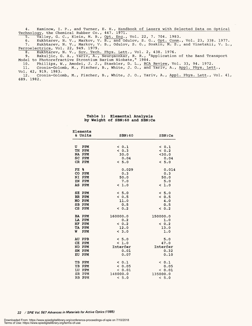4. Kaminow, I. P., and Turner, E. H., Handbook of Lasers with Selected Data on Optical Technology, the Chemical Rubber Co.,  $447.$   $1\overline{971.}$ 4. Kaminow, I. P., and Turner, E. H., Handbook of Lasers with Selected Data on Optical Technology, the Chemical Rubber Co., 447. 1971.

5. Valley, G. C., Klein, M. B., Opt. Eng., Vol. 22, 7. 704. 1983. 5. Valley, G. C., Klein, M. B., Opt. Eng., Vol. 22, 7. 704. 1983.

6. Kukhtarev, N. V., Markov, V. B., and Odulov, S. G., Opt. Comm., Vol. 23, 338. 1977. 7. Kukhtarev, N. V., Markov, V. B., Odulov, S. G., Soskin, M. S., and Vinetskii, V. L., Ferroelectrics, Vol. 22, 949. 1979. 6. Kukhtarev, N. V., Markov, V. B., and Odulov, S. G., Opt. Comm., Vol. 23, 338. 1977. 7. Kukhtarev, N. V., Markov, V. B., Odulov, S. G., Soskin, M. S., and Vinetskii, V. L., Ferroelectrics, Vol. 22, 949. 1979.

8. Kukhtarev, N. V., Soy. Tech. Phys. Lett., Vol. 2, 438. 1976. 8. Kukhtarev, N. V., Sov. Tech. Phys. Lett., Vol. 2, 438. 1976.

9. Rakuljic, G. A., Yariv, A., Neurgaonkar, R. R., "Application of the Band Transport Model to Photorefractive Strontium Barium Niobate," 1984. Model to Photorefractive Strontium Barium Niobate," 1984. 9. Rakuljic, G. A., Yariv, A., Neurgaonkar, R. R., "Application of the Band Transport

10. Phillips, W., Amodei, J. J., Staebler, D. L., RCA Review, Vol. 33, 94. 1972. 10. Phillips, W., Amodei, J. J., Staebler, D. L., RCA Review, Vol. 33, 94. 1972.

11.  $\,$  Cronin-Golomb, M., Fischer, B., White, J. O., and Yari $\overline{v}$ , A., Appl. Phys. Lett.,  $\,$ Vol. 42, 919. 1983. Vol. 42, 919. 1983. 11. Cronin-Golomb, M., Fischer, B., White, J. 0., and Yariv, A., Appl. Phys. Lett.,

12. Cronin -Golomb, M., Fischer, B., White, J. O., Yariv, A., Appl. Phys. Lett., Vol. 41, 12. Cronin-Golomb, M., Fischer, B., White, J. 0., Yariv, A., Appl. Phys. Lett., Vol. 41, 689. 1982. 689. 1982.

# Table 1: Elemental Analysis **Table 1: Elemental Analysis**  by Weight of SBN:60 and SBN:Ce **by Weight of SEN:60 and SBN:Ce**

| Elements        |          |          |
|-----------------|----------|----------|
| & Units         | SBN:60   | SBN:Ce   |
|                 |          |          |
| U<br><b>PPM</b> | < 0.1    | & 0.1    |
| TH PPM          | < 0.3    | & 0.2    |
| NA PPM          | 30.0     | < 30.0   |
| SC PPM          | 0.04     | 0.04     |
| CR PPM          | & 5.0    | &5.0     |
| FE &            | 0.029    | 0.014    |
| CO PPM          | 0.3      | 0.3      |
| NΙ<br>PPM       | 50.0     | 50.0     |
| ZN PPM          | 7.0      | 5.0      |
| <b>AS PPM</b>   | < 1.0    | < 1.0    |
| SE PPM          | & 5.0    | < 5.0    |
| BR PPM          | & 0.5    | & 0.5    |
| MO PPM          | 11.0     | 4.0      |
| SB PPM          | 0.5      | 0.5      |
| CS PPM          | & 0.2    | & 0.2    |
| BA PPM          | 160000.0 | 150000.0 |
| LA PPM          | 0.2      | 1.0      |
| HF PPM          | & 0.2    | & 0.2    |
| TA PPM          | 12.0     | 13.0     |
| W<br><b>PPM</b> | < 3.0    | 1.0      |
| AU PPB          | < 5.0    | 5.0      |
| CE PPM          | < 1.0    | 47.0     |
| ND PPM          | Interfer | Interfer |
| SM PPM          | 0.01     | 0.32     |
| EU<br>PPM       | 0.07     | 0.10     |
| TB PPM          | & 0.1    | < 0.1    |
| YB PPM          | & 0.05   | 0.05     |
| LU PPM          | < 0.01   | < 0.01   |
| SR PPM          | 148000.0 | 135000.0 |
| RB PPM          | < 5.0    | < 5.0    |
|                 |          |          |

22 / SPIE Vol. 567 Advances in Materials for Active Optics (1985) **22 / SPIE Vol. 567 Advances in Materials for Active Optics (1985)**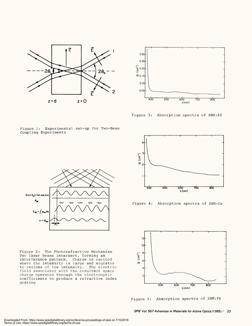



Figure 3: Absorption spectra of SBN:60 Figure 3: Absorption spectra of SEN:60

Figure 1: Experimental set -up for Two -Beam Figure 1: Experimental set-up for Two-Beam Coupling Experiments Coupling Experiments



Figure 2: The Photorefractive Mechanism Figure 2: The Photorefractive Mechanism Two laser beams intersect, forming an Two laser beams intersect, forming an interference pattern. Charge is excited interference pattern. Charge is excited where the intensity is large and migrates to regions of low intensity. The electric field associated with the resultant space field associated with the resultant space charge operates through the electrooptic charge operates through the electrooptic coefficients to produce a refractive index coefficients to produce a refractive index grating grating where the intensity is large and migrates to regions of low intensity. The electric



Figure 4: Absorption spectra of SBN:Ce Figure 4: Absorption spectra of SBN:Ce



Figure 5: Absorption spectra of SBN:Fe Figure 5: Absorption spectra of SBN:Fe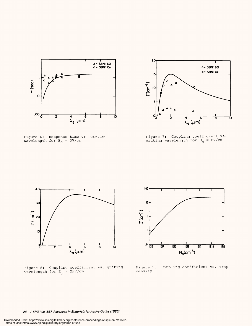

Figure 6: Response time vs. grating wavelength for  $E^{\vphantom{\dagger}}_{\Omega}$  = OV/cm Figure 6: Response time vs. grating wavelength for E<sub>o</sub> = OV/cm



Figure 7: Coupling coefficient vs. grating wavelength for  $E^{\text{}}_{\Omega}$  = OV/cm Figure 7: Coupling coefficient vs. grating wavelength for  $E^{\vphantom{\dagger}}_{\alpha\alpha}$  = OV/cm



Figure 8: Coupling coefficient vs. grating wavelength for  $E_0 = 2kV/cm$  density Figure 8: Coupling coefficient vs. grating wavelength for  $E_{\alpha}$  = 2kV/cm



Figure 9: Coupling coefficient vs. trap Figure 9: Coupling coefficient vs. trap density

24 / SPIE Vol. 567 Advances in Materials for Active Optics (1985) **24 / SP/E Vol. 567 Advances in Materials for Active Optics (1985)**